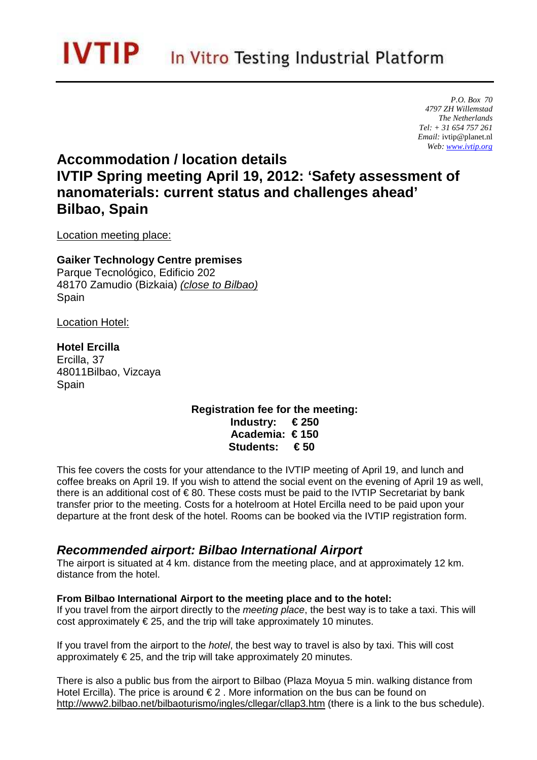*P.O. Box 70 4797 ZH Willemstad The Netherlands Tel: + 31 654 757 261 Email:* ivtip@planet.nl *Web: www.ivtip.org* 

# **Accommodation / location details IVTIP Spring meeting April 19, 2012: 'Safety assessment of nanomaterials: current status and challenges ahead' Bilbao, Spain**

Location meeting place:

**Gaiker Technology Centre premises**  Parque Tecnológico, Edificio 202 48170 Zamudio (Bizkaia) (close to Bilbao) Spain

Location Hotel:

**Hotel Ercilla**  Ercilla, 37 48011Bilbao, Vizcaya Spain

> **Registration fee for the meeting: Industry: € 250 Academia: € 150 Students: € 50**

This fee covers the costs for your attendance to the IVTIP meeting of April 19, and lunch and coffee breaks on April 19. If you wish to attend the social event on the evening of April 19 as well, there is an additional cost of  $\epsilon$  80. These costs must be paid to the IVTIP Secretariat by bank transfer prior to the meeting. Costs for a hotelroom at Hotel Ercilla need to be paid upon your departure at the front desk of the hotel. Rooms can be booked via the IVTIP registration form.

### **Recommended airport: Bilbao International Airport**

The airport is situated at 4 km. distance from the meeting place, and at approximately 12 km. distance from the hotel.

#### **From Bilbao International Airport to the meeting place and to the hotel:**

If you travel from the airport directly to the *meeting place*, the best way is to take a taxi. This will cost approximately  $\epsilon$  25, and the trip will take approximately 10 minutes.

If you travel from the airport to the *hotel*, the best way to travel is also by taxi. This will cost approximately  $\epsilon$  25, and the trip will take approximately 20 minutes.

There is also a public bus from the airport to Bilbao (Plaza Moyua 5 min. walking distance from Hotel Ercilla). The price is around  $\epsilon$  2. More information on the bus can be found on http://www2.bilbao.net/bilbaoturismo/ingles/cllegar/cllap3.htm (there is a link to the bus schedule).